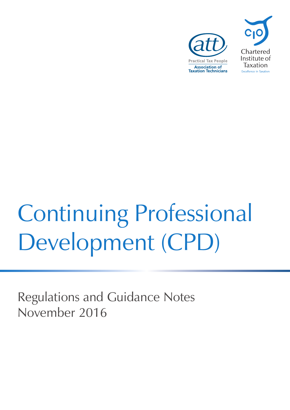



# Continuing Professional Development (CPD)

Regulations and Guidance Notes November 2016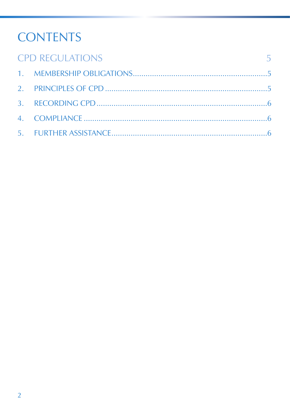### **CONTENTS**

| <b>CPD REGULATIONS</b><br>$\sim$ 5 |  |
|------------------------------------|--|
|                                    |  |
|                                    |  |
|                                    |  |
|                                    |  |
|                                    |  |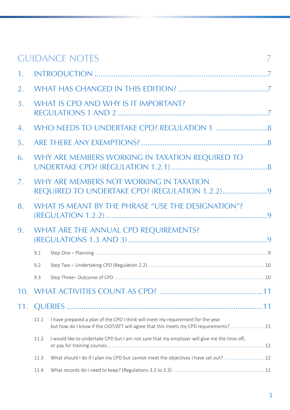|     |                                                                                           | <b>GUIDANCE NOTES</b>                                                                                                                                                  |  |  |  |
|-----|-------------------------------------------------------------------------------------------|------------------------------------------------------------------------------------------------------------------------------------------------------------------------|--|--|--|
|     |                                                                                           |                                                                                                                                                                        |  |  |  |
| 2.  |                                                                                           |                                                                                                                                                                        |  |  |  |
| 3.  | WHAT IS CPD AND WHY IS IT IMPORTANT?                                                      |                                                                                                                                                                        |  |  |  |
| 4.  |                                                                                           |                                                                                                                                                                        |  |  |  |
| 5.  |                                                                                           |                                                                                                                                                                        |  |  |  |
| 6.  | WHY ARE MEMBERS WORKING IN TAXATION REQUIRED TO                                           |                                                                                                                                                                        |  |  |  |
| 7.  | WHY ARE MEMBERS NOT WORKING IN TAXATION<br>REQUIRED TO UNDERTAKE CPD? (REGULATION 1.2.2)9 |                                                                                                                                                                        |  |  |  |
| 8.  | WHAT IS MEANT BY THE PHRASE "USE THE DESIGNATION"?                                        |                                                                                                                                                                        |  |  |  |
| 9.  | WHAT ARE THE ANNUAL CPD REQUIREMENTS?                                                     |                                                                                                                                                                        |  |  |  |
|     | 9.1                                                                                       |                                                                                                                                                                        |  |  |  |
|     | 9.2                                                                                       |                                                                                                                                                                        |  |  |  |
|     | 9.3                                                                                       |                                                                                                                                                                        |  |  |  |
| 10. |                                                                                           |                                                                                                                                                                        |  |  |  |
| 11. |                                                                                           |                                                                                                                                                                        |  |  |  |
|     | 11.1                                                                                      | I have prepared a plan of the CPD I think will meet my requirement for the year<br>but how do I know if the CIOT/ATT will agree that this meets my CPD requirements?11 |  |  |  |
|     | 11.2                                                                                      | I would like to undertake CPD but I am not sure that my employer will give me the time off,                                                                            |  |  |  |
|     | 11.3                                                                                      |                                                                                                                                                                        |  |  |  |
|     | 11.4                                                                                      |                                                                                                                                                                        |  |  |  |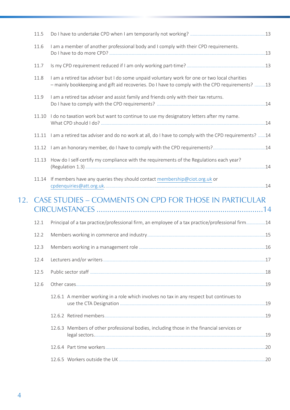| 11.5  |                                                                                                                                                                                                  |  |
|-------|--------------------------------------------------------------------------------------------------------------------------------------------------------------------------------------------------|--|
| 11.6  | I am a member of another professional body and I comply with their CPD requirements.                                                                                                             |  |
| 11.7  |                                                                                                                                                                                                  |  |
| 11.8  | I am a retired tax adviser but I do some unpaid voluntary work for one or two local charities<br>- mainly bookkeeping and gift aid recoveries. Do I have to comply with the CPD requirements? 13 |  |
| 11.9  | I am a retired tax adviser and assist family and friends only with their tax returns.                                                                                                            |  |
| 11.10 | I do no taxation work but want to continue to use my designatory letters after my name.                                                                                                          |  |
|       | 11.11 I am a retired tax adviser and do no work at all, do I have to comply with the CPD requirements? 14                                                                                        |  |
|       |                                                                                                                                                                                                  |  |
| 11.13 | How do I self-certify my compliance with the requirements of the Regulations each year?                                                                                                          |  |
| 11.14 | If members have any queries they should contact membership@ciot.org.uk or                                                                                                                        |  |
|       | 12. CASE STUDIES – COMMENTS ON CPD FOR THOSE IN PARTICULAR                                                                                                                                       |  |
| 12.1  | Principal of a tax practice/professional firm, an employee of a tax practice/professional firm14                                                                                                 |  |
| 12.2  |                                                                                                                                                                                                  |  |
| 12.3  |                                                                                                                                                                                                  |  |
| 12.4  |                                                                                                                                                                                                  |  |
| 12.5  |                                                                                                                                                                                                  |  |
| 12.6  |                                                                                                                                                                                                  |  |
|       | 12.6.1 A member working in a role which involves no tax in any respect but continues to                                                                                                          |  |
|       |                                                                                                                                                                                                  |  |
|       | 12.6.3 Members of other professional bodies, including those in the financial services or                                                                                                        |  |
|       |                                                                                                                                                                                                  |  |
|       |                                                                                                                                                                                                  |  |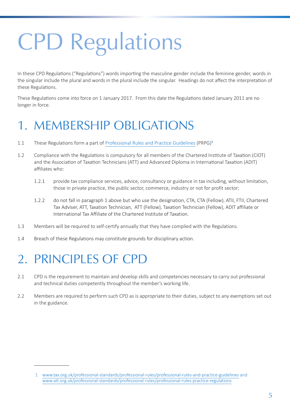## <span id="page-4-0"></span>CPD Regulations

In these CPD Regulations ("Regulations") words importing the masculine gender include the feminine gender, words in the singular include the plural and words in the plural include the singular. Headings do not affect the interpretation of these Regulations.

These Regulations come into force on 1 January 2017. From this date the Regulations dated January 2011 are no longer in force.

### 1. MEMBERSHIP OBLIGATIONS

- 1.1 These Regulations form a part of [Professional Rules and Practice Guidelines](http://www.tax.org.uk/sites/default/files/PRPG%20-%20March%202011.pdf) (PRPG)**<sup>1</sup>**
- 1.2 Compliance with the Regulations is compulsory for all members of the Chartered Institute of Taxation (CIOT) and the Association of Taxation Technicians (ATT) and Advanced Diploma in International Taxation (ADIT) affiliates who:
	- 1.2.1 provide tax compliance services, advice, consultancy or guidance in tax including, without limitation, those in private practice, the public sector, commerce, industry or not for profit sector;
	- 1.2.2 do not fall in paragraph 1 above but who use the designation, CTA, CTA (Fellow), ATII, FTII, Chartered Tax Adviser, ATT, Taxation Technician, ATT (Fellow), Taxation Technician (Fellow), ADIT affiliate or International Tax Affiliate of the Chartered Institute of Taxation.
- 1.3 Members will be required to self-certify annually that they have complied with the Regulations.
- 1.4 Breach of these Regulations may constitute grounds for disciplinary action.

### 2. PRINCIPLES OF CPD

- 2.1 CPD is the requirement to maintain and develop skills and competencies necessary to carry out professional and technical duties competently throughout the member's working life.
- 2.2 Members are required to perform such CPD as is appropriate to their duties, subject to any exemptions set out in the guidance.

 <sup>1</sup> www.tax.org.uk/professional-standards/professional-rules/professional-rules-and-practice-guidelines and www.att.org.uk/professional-standards/professional-rules/professional-rules-practice-regulations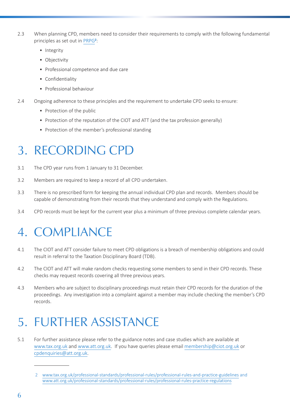- <span id="page-5-0"></span>2.3 When planning CPD, members need to consider their requirements to comply with the following fundamental principles as set out in [PRPG](http://www.tax.org.uk/sites/default/files/PRPG%20-%20March%202011.pdf)**<sup>2</sup>** :
	- Integrity
	- Objectivity
	- Professional competence and due care
	- Confidentiality
	- Professional behaviour
- 2.4 Ongoing adherence to these principles and the requirement to undertake CPD seeks to ensure:
	- Protection of the public
	- Protection of the reputation of the CIOT and ATT (and the tax profession generally)
	- Protection of the member's professional standing

### 3. RECORDING CPD

- 3.1 The CPD year runs from 1 January to 31 December.
- 3.2 Members are required to keep a record of all CPD undertaken.
- 3.3 There is no prescribed form for keeping the annual individual CPD plan and records. Members should be capable of demonstrating from their records that they understand and comply with the Regulations.
- 3.4 CPD records must be kept for the current year plus a minimum of three previous complete calendar years.

### 4. COMPLIANCE

- 4.1 The CIOT and ATT consider failure to meet CPD obligations is a breach of membership obligations and could result in referral to the Taxation Disciplinary Board (TDB).
- 4.2 The CIOT and ATT will make random checks requesting some members to send in their CPD records. These checks may request records covering all three previous years.
- 4.3 Members who are subject to disciplinary proceedings must retain their CPD records for the duration of the proceedings. Any investigation into a complaint against a member may include checking the member's CPD records.

### 5. FURTHER ASSISTANCE

5.1 For further assistance please refer to the guidance notes and case studies which are available at www.tax.org.uk and www.att.org.uk. If you have queries please email membership@ciot.org.uk or cpdenquiries@att.org.uk.

 <sup>2</sup> www.tax.org.uk/professional-standards/professional-rules/professional-rules-and-practice-guidelines and www.att.org.uk/professional-standards/professional-rules/professional-rules-practice-regulations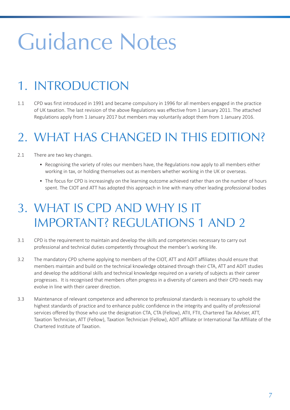## <span id="page-6-0"></span>Guidance Notes

### 1. INTRODUCTION

1.1 CPD was first introduced in 1991 and became compulsory in 1996 for all members engaged in the practice of UK taxation. The last revision of the above Regulations was effective from 1 January 2011. The attached Regulations apply from 1 January 2017 but members may voluntarily adopt them from 1 January 2016.

### 2. WHAT HAS CHANGED IN THIS EDITION?

- 2.1 There are two key changes.
	- Recognising the variety of roles our members have, the Regulations now apply to all members either working in tax, or holding themselves out as members whether working in the UK or overseas.
	- The focus for CPD is increasingly on the learning outcome achieved rather than on the number of hours spent. The CIOT and ATT has adopted this approach in line with many other leading professional bodies

### 3. WHAT IS CPD AND WHY IS IT IMPORTANT? REGULATIONS 1 AND 2

- 3.1 CPD is the requirement to maintain and develop the skills and competencies necessary to carry out professional and technical duties competently throughout the member's working life.
- 3.2 The mandatory CPD scheme applying to members of the CIOT, ATT and ADIT affiliates should ensure that members maintain and build on the technical knowledge obtained through their CTA, ATT and ADIT studies and develop the additional skills and technical knowledge required on a variety of subjects as their career progresses. It is recognised that members often progress in a diversity of careers and their CPD needs may evolve in line with their career direction.
- 3.3 Maintenance of relevant competence and adherence to professional standards is necessary to uphold the highest standards of practice and to enhance public confidence in the integrity and quality of professional services offered by those who use the designation CTA, CTA (Fellow), ATII, FTII, Chartered Tax Adviser, ATT, Taxation Technician, ATT (Fellow), Taxation Technician (Fellow), ADIT affiliate or International Tax Affiliate of the Chartered Institute of Taxation.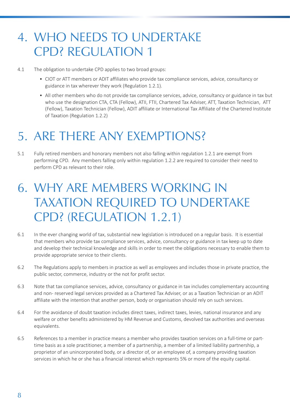### <span id="page-7-0"></span>4. WHO NEEDS TO UNDERTAKE CPD? REGULATION 1

- 4.1 The obligation to undertake CPD applies to two broad groups:
	- CIOT or ATT members or ADIT affiliates who provide tax compliance services, advice, consultancy or guidance in tax wherever they work (Regulation 1.2.1).
	- All other members who do not provide tax compliance services, advice, consultancy or guidance in tax but who use the designation CTA, CTA (Fellow), ATII, FTII, Chartered Tax Adviser, ATT, Taxation Technician, ATT (Fellow), Taxation Technician (Fellow), ADIT affiliate or International Tax Affiliate of the Chartered Institute of Taxation (Regulation 1.2.2)

### 5. ARE THERE ANY EXEMPTIONS?

5.1 Fully retired members and honorary members not also falling within regulation 1.2.1 are exempt from performing CPD. Any members falling only within regulation 1.2.2 are required to consider their need to perform CPD as relevant to their role.

### 6. WHY ARE MEMBERS WORKING IN TAXATION REQUIRED TO UNDERTAKE CPD? (REGULATION 1.2.1)

- 6.1 In the ever changing world of tax, substantial new legislation is introduced on a regular basis. It is essential that members who provide tax compliance services, advice, consultancy or guidance in tax keep up to date and develop their technical knowledge and skills in order to meet the obligations necessary to enable them to provide appropriate service to their clients.
- 6.2 The Regulations apply to members in practice as well as employees and includes those in private practice, the public sector, commerce, industry or the not for profit sector.
- 6.3 Note that tax compliance services, advice, consultancy or guidance in tax includes complementary accounting and non- reserved legal services provided as a Chartered Tax Adviser, or as a Taxation Technician or an ADIT affiliate with the intention that another person, body or organisation should rely on such services.
- 6.4 For the avoidance of doubt taxation includes direct taxes, indirect taxes, levies, national insurance and any welfare or other benefits administered by HM Revenue and Customs, devolved tax authorities and overseas equivalents.
- 6.5 References to a member in practice means a member who provides taxation services on a full-time or parttime basis as a sole practitioner, a member of a partnership, a member of a limited liability partnership, a proprietor of an unincorporated body, or a director of, or an employee of, a company providing taxation services in which he or she has a financial interest which represents 5% or more of the equity capital.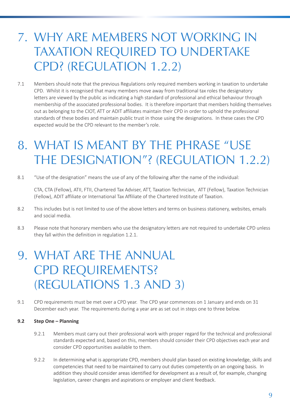### <span id="page-8-0"></span>7. WHY ARE MEMBERS NOT WORKING IN TAXATION REQUIRED TO UNDERTAKE CPD? (REGULATION 1.2.2)

7.1 Members should note that the previous Regulations only required members working in taxation to undertake CPD. Whilst it is recognised that many members move away from traditional tax roles the designatory letters are viewed by the public as indicating a high standard of professional and ethical behaviour through membership of the associated professional bodies. It is therefore important that members holding themselves out as belonging to the CIOT, ATT or ADIT affiliates maintain their CPD in order to uphold the professional standards of these bodies and maintain public trust in those using the designations. In these cases the CPD expected would be the CPD relevant to the member's role.

### 8. WHAT IS MEANT BY THE PHRASE "USE THE DESIGNATION"? (REGULATION 1.2.2)

8.1 "Use of the designation" means the use of any of the following after the name of the individual:

CTA, CTA (Fellow), ATII, FTII, Chartered Tax Adviser, ATT, Taxation Technician, ATT (Fellow), Taxation Technician (Fellow), ADIT affiliate or International Tax Affiliate of the Chartered Institute of Taxation.

- 8.2 This includes but is not limited to use of the above letters and terms on business stationery, websites, emails and social media.
- 8.3 Please note that honorary members who use the designatory letters are not required to undertake CPD unless they fall within the definition in regulation 1.2.1.

### 9. WHAT ARE THE ANNUAL CPD REQUIREMENTS? (REGULATIONS 1.3 AND 3)

9.1 CPD requirements must be met over a CPD year. The CPD year commences on 1 January and ends on 31 December each year. The requirements during a year are as set out in steps one to three below.

#### **9.2 Step One – Planning**

- 9.2.1 Members must carry out their professional work with proper regard for the technical and professional standards expected and, based on this, members should consider their CPD objectives each year and consider CPD opportunities available to them.
- 9.2.2 In determining what is appropriate CPD, members should plan based on existing knowledge, skills and competencies that need to be maintained to carry out duties competently on an ongoing basis. In addition they should consider areas identified for development as a result of, for example, changing legislation, career changes and aspirations or employer and client feedback.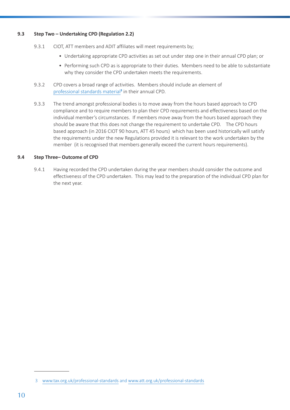#### <span id="page-9-0"></span>**9.3 Step Two – Undertaking CPD (Regulation 2.2)**

- 9.3.1 CIOT, ATT members and ADIT affiliates will meet requirements by;
	- Undertaking appropriate CPD activities as set out under step one in their annual CPD plan; or
	- Performing such CPD as is appropriate to their duties. Members need to be able to substantiate why they consider the CPD undertaken meets the requirements.
- 9.3.2 CPD covers a broad range of activities. Members should include an element of [professional standards material](https://www.tax.org.uk/professional-standards)<sup>3</sup> in their annual CPD.
- 9.3.3 The trend amongst professional bodies is to move away from the hours based approach to CPD compliance and to require members to plan their CPD requirements and effectiveness based on the individual member's circumstances. If members move away from the hours based approach they should be aware that this does not change the requirement to undertake CPD. The CPD hours based approach (in 2016 CIOT 90 hours, ATT 45 hours) which has been used historically will satisfy the requirements under the new Regulations provided it is relevant to the work undertaken by the member (it is recognised that members generally exceed the current hours requirements).

#### **9.4 Step Three– Outcome of CPD**

9.4.1 Having recorded the CPD undertaken during the year members should consider the outcome and effectiveness of the CPD undertaken. This may lead to the preparation of the individual CPD plan for the next year.

 <sup>3</sup> www.tax.org.uk/professional-standards and www.att.org.uk/professional-standards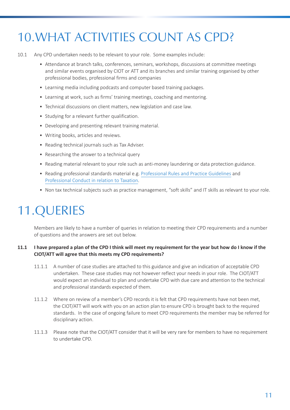### <span id="page-10-0"></span>10.WHAT ACTIVITIES COUNT AS CPD?

- 10.1 Any CPD undertaken needs to be relevant to your role. Some examples include:
	- Attendance at branch talks, conferences, seminars, workshops, discussions at committee meetings and similar events organised by CIOT or ATT and its branches and similar training organised by other professional bodies, professional firms and companies
	- Learning media including podcasts and computer based training packages.
	- Learning at work, such as firms' training meetings, coaching and mentoring.
	- Technical discussions on client matters, new legislation and case law.
	- Studying for a relevant further qualification.
	- Developing and presenting relevant training material.
	- Writing books, articles and reviews.
	- Reading technical journals such as Tax Adviser.
	- Researching the answer to a technical query
	- Reading material relevant to your role such as anti-money laundering or data protection guidance.
	- Reading professional standards material e.g. [Professional Rules and Practice Guidelines](http://www.tax.org.uk/professional-standards/professional-rules/professional-rules-and-practice-guidelines) and [Professional Conduct in relation to Taxation](http://www.tax.org.uk/professional-standards/professional-rules/professional-conduct-relation-taxation).
	- Non tax technical subjects such as practice management, "soft skills" and IT skills as relevant to your role.

### 11.QUERIES

Members are likely to have a number of queries in relation to meeting their CPD requirements and a number of questions and the answers are set out below.

#### **11.1 I have prepared a plan of the CPD I think will meet my requirement for the year but how do I know if the CIOT/ATT will agree that this meets my CPD requirements?**

- 11.1.1 A number of case studies are attached to this guidance and give an indication of acceptable CPD undertaken. These case studies may not however reflect your needs in your role. The CIOT/ATT would expect an individual to plan and undertake CPD with due care and attention to the technical and professional standards expected of them.
- 11.1.2 Where on review of a member's CPD records it is felt that CPD requirements have not been met, the CIOT/ATT will work with you on an action plan to ensure CPD is brought back to the required standards. In the case of ongoing failure to meet CPD requirements the member may be referred for disciplinary action.
- 11.1.3 Please note that the CIOT/ATT consider that it will be very rare for members to have no requirement to undertake CPD.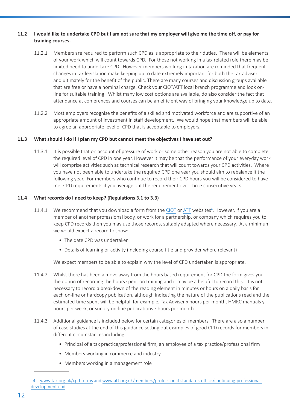#### <span id="page-11-0"></span>**11.2 I would like to undertake CPD but I am not sure that my employer will give me the time off, or pay for training courses.**

- 11.2.1 Members are required to perform such CPD as is appropriate to their duties. There will be elements of your work which will count towards CPD. For those not working in a tax related role there may be limited need to undertake CPD. However members working in taxation are reminded that frequent changes in tax legislation make keeping up to date extremely important for both the tax adviser and ultimately for the benefit of the public. There are many courses and discussion groups available that are free or have a nominal charge. Check your CIOT/ATT local branch programme and look online for suitable training. Whilst many low cost options are available, do also consider the fact that attendance at conferences and courses can be an efficient way of bringing your knowledge up to date.
- 11.2.2 Most employers recognise the benefits of a skilled and motivated workforce and are supportive of an appropriate amount of investment in staff development. We would hope that members will be able to agree an appropriate level of CPD that is acceptable to employers.

#### **11.3 What should I do if I plan my CPD but cannot meet the objectives I have set out?**

11.3.1 It is possible that on account of pressure of work or some other reason you are not able to complete the required level of CPD in one year. However it may be that the performance of your everyday work will comprise activities such as technical research that will count towards your CPD activities. Where you have not been able to undertake the required CPD one year you should aim to rebalance it the following year. For members who continue to record their CPD hours you will be considered to have met CPD requirements if you average out the requirement over three consecutive years.

#### **11.4 What records do I need to keep? (Regulations 3.1 to 3.3)**

- 11.4.1 We recommend that you download a form from the [CIOT](http://www.tax.org.uk/cpd-forms) or [ATT](https://www.att.org.uk/members/professional-standards-ethics/continuing-professional-development-cpd) websites**<sup>4</sup>** . However, if you are a member of another professional body, or work for a partnership, or company which requires you to keep CPD records then you may use those records, suitably adapted where necessary. At a minimum we would expect a record to show:
	- The date CPD was undertaken
	- Details of learning or activity (including course title and provider where relevant)

We expect members to be able to explain why the level of CPD undertaken is appropriate.

- 11.4.2 Whilst there has been a move away from the hours based requirement for CPD the form gives you the option of recording the hours spent on training and it may be a helpful to record this. It is not necessary to record a breakdown of the reading element in minutes or hours on a daily basis for each on-line or hardcopy publication, although indicating the nature of the publications read and the estimated time spent will be helpful, for example, Tax Adviser x hours per month, HMRC manuals y hours per week, or sundry on-line publications z hours per month.
- 11.4.3 Additional guidance is included below for certain categories of members. There are also a number of case studies at the end of this guidance setting out examples of good CPD records for members in different circumstances including:
	- Principal of a tax practice/professional firm, an employee of a tax practice/professional firm
	- Members working in commerce and industry
	- Members working in a management role

 <sup>4</sup> [www.tax.org.uk/cpd-forms](http://www.tax.org.uk/cpd-forms) and [www.att.org.uk/members/professional-standards-ethics/continuing-professional](https://www.att.org.uk/members/professional-standards-ethics/continuing-professional-development-cpd)development-cpd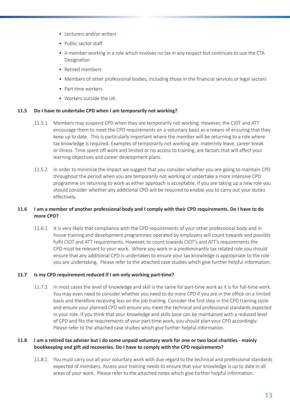- <span id="page-12-0"></span>• Lecturers and/or writers
- Public sector staff
- A member working in a role which involves no tax in any respect but continues to use the CTA Designation
- Retired members
- Members of other professional bodies, including those in the financial services or legal sectors
- Part time workers
- Workers outside the UK

#### **11.5 Do I have to undertake CPD when I am temporarily not working?**

- 11.5.1 Members may suspend CPD when they are temporarily not working. However, the CIOT and ATT encourage them to meet the CPD requirements on a voluntary basis as a means of ensuring that they keep up to date. This is particularly important where the member will be returning to a role where tax knowledge is required. Examples of temporarily not working are: maternity leave, career break or illness. Time spent off work and limited or no access to training, are factors that will affect your learning objectives and career development plans.
- 11.5.2 In order to minimise the impact we suggest that you consider whether you are going to maintain CPD throughout the period when you are temporarily not working or undertake a more intensive CPD programme on returning to work as either approach is acceptable. If you are taking up a new role you should consider whether any additional CPD will be required to enable you to carry out your duties effectively.

#### **11.6 I am a member of another professional body and I comply with their CPD requirements. Do I have to do more CPD?**

11.6.1 It is very likely that compliance with the CPD requirements of your other professional body and in house training and development programmes operated by employers will count towards and possibly fulfil CIOT and ATT requirements. However, to count towards CIOT's and ATT's requirements the CPD must be relevant to your work. Where you work in a predominantly tax related role you should ensure that any additional CPD is undertaken to ensure your tax knowledge is appropriate to the role you are undertaking. Please refer to the attached case studies which give further helpful information.

#### **11.7 Is my CPD requirement reduced if I am only working part-time?**

11.7.1 In most cases the level of knowledge and skill is the same for part-time work as it is for full-time work. You may even need to consider whether you need to do more CPD if you are in the office on a limited basis and therefore receiving less on the job training. Consider the first step in the CPD training cycle and ensure your planned CPD will ensure you meet the technical and professional standards expected in your role. If you think that your knowledge and skills base can be maintained with a reduced level of CPD and fits the requirements of your part-time work, you should plan your CPD accordingly. Please refer to the attached case studies which give further helpful information.

#### **11.8 I am a retired tax adviser but I do some unpaid voluntary work for one or two local charities - mainly bookkeeping and gift aid recoveries. Do I have to comply with the CPD requirements?**

11.8.1 You must carry out all your voluntary work with due regard to the technical and professional standards expected of members. Assess your training needs to ensure that your knowledge is up to date in all areas of your work. Please refer to the attached notes which give further helpful information.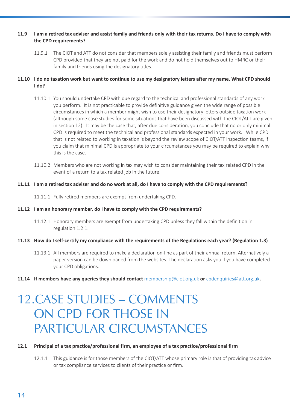#### <span id="page-13-0"></span>**11.9 I am a retired tax adviser and assist family and friends only with their tax returns. Do I have to comply with the CPD requirements?**

11.9.1 The CIOT and ATT do not consider that members solely assisting their family and friends must perform CPD provided that they are not paid for the work and do not hold themselves out to HMRC or their family and friends using the designatory titles.

#### **11.10 I do no taxation work but want to continue to use my designatory letters after my name. What CPD should I do?**

- 11.10.1 You should undertake CPD with due regard to the technical and professional standards of any work you perform. It is not practicable to provide definitive guidance given the wide range of possible circumstances in which a member might wish to use their designatory letters outside taxation work (although some case studies for some situations that have been discussed with the CIOT/ATT are given in section 12). It may be the case that, after due consideration, you conclude that no or only minimal CPD is required to meet the technical and professional standards expected in your work. While CPD that is not related to working in taxation is beyond the review scope of CIOT/ATT inspection teams, if you claim that minimal CPD is appropriate to your circumstances you may be required to explain why this is the case.
- 11.10.2 Members who are not working in tax may wish to consider maintaining their tax related CPD in the event of a return to a tax related job in the future.

#### **11.11 I am a retired tax adviser and do no work at all, do I have to comply with the CPD requirements?**

11.11.1 Fully retired members are exempt from undertaking CPD.

#### **11.12 I am an honorary member, do I have to comply with the CPD requirements?**

- 11.12.1 Honorary members are exempt from undertaking CPD unless they fall within the definition in regulation 1.2.1.
- **11.13 How do I self-certify my compliance with the requirements of the Regulations each year? (Regulation 1.3)**
	- 11.13.1 All members are required to make a declaration on-line as part of their annual return. Alternatively a paper version can be downloaded from the websites. The declaration asks you if you have completed your CPD obligations.
- **11.14 If members have any queries they should contact** membership@ciot.org.uk **or** cpdenquiries@att.org.uk**.**

### 12.CASE STUDIES – COMMENTS ON CPD FOR THOSE IN PARTICULAR CIRCUMSTANCES

#### **12.1 Principal of a tax practice/professional firm, an employee of a tax practice/professional firm**

12.1.1 This guidance is for those members of the CIOT/ATT whose primary role is that of providing tax advice or tax compliance services to clients of their practice or firm.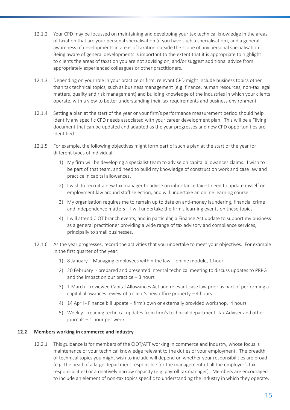- <span id="page-14-0"></span>12.1.2 Your CPD may be focussed on maintaining and developing your tax technical knowledge in the areas of taxation that are your personal specialisation (if you have such a specialisation), and a general awareness of developments in areas of taxation outside the scope of any personal specialisation. Being aware of general developments is important to the extent that it is appropriate to highlight to clients the areas of taxation you are not advising on, and/or suggest additional advice from appropriately experienced colleagues or other practitioners.
- 12.1.3 Depending on your role in your practice or firm, relevant CPD might include business topics other than tax technical topics, such as business management (e.g. finance, human resources, non-tax legal matters, quality and risk management) and building knowledge of the industries in which your clients operate, with a view to better understanding their tax requirements and business environment.
- 12.1.4 Setting a plan at the start of the year or your firm's performance measurement period should help identify any specific CPD needs associated with your career development plan. This will be a "living" document that can be updated and adapted as the year progresses and new CPD opportunities are identified.
- 12.1.5 For example, the following objectives might form part of such a plan at the start of the year for different types of individual:
	- 1) My firm will be developing a specialist team to advise on capital allowances claims. I wish to be part of that team, and need to build my knowledge of construction work and case law and practice in capital allowances.
	- 2) I wish to recruit a new tax manager to advise on inheritance tax I need to update myself on employment law around staff selection, and will undertake an online learning course
	- 3) My organisation requires me to remain up to date on anti-money laundering, financial crime and independence matters – I will undertake the firm's learning events on these topics
	- 4) I will attend CIOT branch events, and in particular, a Finance Act update to support my business as a general practitioner providing a wide range of tax advisory and compliance services, principally to small businesses.
- 12.1.6 As the year progresses, record the activities that you undertake to meet your objectives. For example in the first quarter of the year:
	- 1) 8 January Managing employees within the law online module, 1 hour
	- 2) 20 February prepared and presented internal technical meeting to discuss updates to PRPG and the impact on our practice  $-3$  hours
	- 3) 1 March reviewed Capital Allowances Act and relevant case law prior as part of performing a capital allowances review of a client's new office property – 4 hours
	- 4) 14 April Finance bill update firm's own or externally provided workshop, 4 hours
	- 5) Weekly reading technical updates from firm's technical department, Tax Adviser and other journals – 1 hour per week

#### **12.2 Members working in commerce and industry**

12.2.1 This guidance is for members of the CIOT/ATT working in commerce and industry, whose focus is maintenance of your technical knowledge relevant to the duties of your employment. The breadth of technical topics you might wish to include will depend on whether your responsibilities are broad (e.g. the head of a large department responsible for the management of all the employer's tax responsibilities) or a relatively narrow capacity (e.g. payroll tax manager). Members are encouraged to include an element of non-tax topics specific to understanding the industry in which they operate.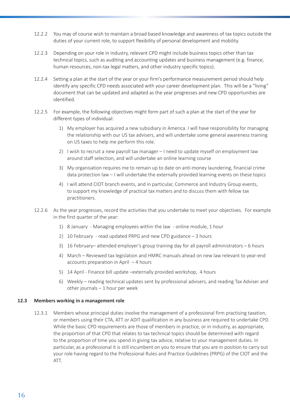- <span id="page-15-0"></span>12.2.2 You may of course wish to maintain a broad based knowledge and awareness of tax topics outside the duties of your current role, to support flexibility of personal development and mobility.
- 12.2.3 Depending on your role in industry, relevant CPD might include business topics other than tax technical topics, such as auditing and accounting updates and business management (e.g. finance, human resources, non-tax legal matters, and other industry specific topics).
- 12.2.4 Setting a plan at the start of the year or your firm's performance measurement period should help identify any specific CPD needs associated with your career development plan. This will be a "living" document that can be updated and adapted as the year progresses and new CPD opportunities are identified.
- 12.2.5 For example, the following objectives might form part of such a plan at the start of the year for different types of individual:
	- 1) My employer has acquired a new subsidiary in America. I will have responsibility for managing the relationship with our US tax advisers, and will undertake some general awareness training on US taxes to help me perform this role.
	- 2) I wish to recruit a new payroll tax manager I need to update myself on employment law around staff selection, and will undertake an online learning course
	- 3) My organisation requires me to remain up to date on anti-money laundering, financial crime data protection law – I will undertake the externally provided learning events on these topics
	- 4) I will attend CIOT branch events, and in particular, Commerce and Industry Group events, to support my knowledge of practical tax matters and to discuss them with fellow tax practitioners.
- 12.2.6 As the year progresses, record the activities that you undertake to meet your objectives. For example in the first quarter of the year:
	- 1) 8 January Managing employees within the law online module, 1 hour
	- 2) 10 February read updated PRPG and new CPD guidance 3 hours
	- 3) 16 February– attended employer's group training day for all payroll administrators 6 hours
	- 4) March Reviewed tax legislation and HMRC manuals ahead on new law relevant to year-end accounts preparation in April – 4 hours
	- 5) 14 April Finance bill update –externally provided workshop, 4 hours
	- 6) Weekly reading technical updates sent by professional advisers, and reading Tax Adviser and other journals – 1 hour per week

#### **12.3 Members working in a management role**

12.3.1 Members whose principal duties involve the management of a professional firm practising taxation, or members using their CTA, ATT or ADIT qualification in any business are required to undertake CPD. While the basic CPD requirements are those of members in practice, or in industry, as appropriate, the proportion of that CPD that relates to tax technical topics should be determined with regard to the proportion of time you spend in giving tax advice, relative to your management duties. In particular, as a professional it is still incumbent on you to ensure that you are in position to carry out your role having regard to the Professional Rules and Practice Guidelines (PRPG) of the CIOT and the ATT.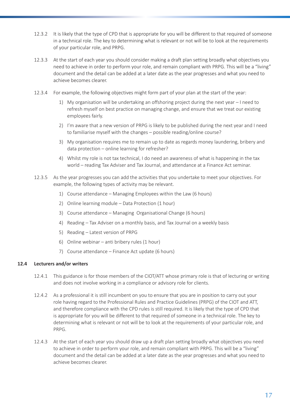- <span id="page-16-0"></span>12.3.2 It is likely that the type of CPD that is appropriate for you will be different to that required of someone in a technical role. The key to determining what is relevant or not will be to look at the requirements of your particular role, and PRPG.
- 12.3.3 At the start of each year you should consider making a draft plan setting broadly what objectives you need to achieve in order to perform your role, and remain compliant with PRPG. This will be a "living" document and the detail can be added at a later date as the year progresses and what you need to achieve becomes clearer.
- 12.3.4 For example, the following objectives might form part of your plan at the start of the year:
	- 1) My organisation will be undertaking an offshoring project during the next year I need to refresh myself on best practice on managing change, and ensure that we treat our existing employees fairly.
	- 2) I'm aware that a new version of PRPG is likely to be published during the next year and I need to familiarise myself with the changes – possible reading/online course?
	- 3) My organisation requires me to remain up to date as regards money laundering, bribery and data protection – online learning for refresher?
	- 4) Whilst my role is not tax technical, I do need an awareness of what is happening in the tax world – reading Tax Adviser and Tax Journal, and attendance at a Finance Act seminar.
- 12.3.5 As the year progresses you can add the activities that you undertake to meet your objectives. For example, the following types of activity may be relevant.
	- 1) Course attendance Managing Employees within the Law (6 hours)
	- 2) Online learning module Data Protection (1 hour)
	- 3) Course attendance Managing Organisational Change (6 hours)
	- 4) Reading Tax Adviser on a monthly basis, and Tax Journal on a weekly basis
	- 5) Reading Latest version of PRPG
	- 6) Online webinar anti bribery rules (1 hour)
	- 7) Course attendance Finance Act update (6 hours)

#### **12.4 Lecturers and/or writers**

- 12.4.1 This guidance is for those members of the CIOT/ATT whose primary role is that of lecturing or writing and does not involve working in a compliance or advisory role for clients.
- 12.4.2 As a professional it is still incumbent on you to ensure that you are in position to carry out your role having regard to the Professional Rules and Practice Guidelines (PRPG) of the CIOT and ATT, and therefore compliance with the CPD rules is still required. It is likely that the type of CPD that is appropriate for you will be different to that required of someone in a technical role. The key to determining what is relevant or not will be to look at the requirements of your particular role, and PRPG.
- 12.4.3 At the start of each year you should draw up a draft plan setting broadly what objectives you need to achieve in order to perform your role, and remain compliant with PRPG. This will be a "living" document and the detail can be added at a later date as the year progresses and what you need to achieve becomes clearer.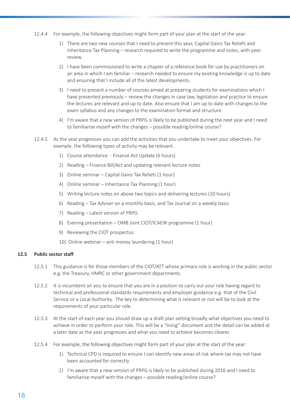- <span id="page-17-0"></span>12.4.4 For example, the following objectives might form part of your plan at the start of the year:
	- 1) There are two new courses that I need to present this year, Capital Gains Tax Reliefs and Inheritance Tax Planning – research required to write the programme and notes, with peer review.
	- 2) I have been commissioned to write a chapter of a reference book for use by practitioners on an area in which I am familiar – research needed to ensure my existing knowledge is up to date and ensuring that I include all of the latest developments.
	- 3) I need to present a number of courses aimed at preparing students for examinations which I have presented previously – review the changes in case law, legislation and practice to ensure the lectures are relevant and up to date. Also ensure that I am up to date with changes to the exam syllabus and any changes to the examination format and structure.
	- 4) I'm aware that a new version of PRPG is likely to be published during the next year and I need to familiarise myself with the changes – possible reading/online course?
- 12.4.5 As the year progresses you can add the activities that you undertake to meet your objectives. For example, the following types of activity may be relevant.
	- 1) Course attendance Finance Act Update (6 hours)
	- 2) Reading Finance Bill/Act and updating relevant lecture notes
	- 3) Online seminar Capital Gains Tax Reliefs (1 hour)
	- 4) Online seminar Inheritance Tax Planning (1 hour)
	- 5) Writing lecture notes on above two topics and delivering lectures (10 hours)
	- 6) Reading Tax Adviser on a monthly basis, and Tax Journal on a weekly basis
	- 7) Reading Latest version of PRPG
	- 8) Evening presentation OMB Joint CIOT/ICAEW programme (1 hour)
	- 9) Reviewing the CIOT prospectus
	- 10) Online webinar anti money laundering (1 hour)

#### **12.5 Public sector staff**

- 12.5.1 This guidance is for those members of the CIOT/ATT whose primary role is working in the public sector e.g. the Treasury, HMRC or other government departments.
- 12.5.2 It is incumbent on you to ensure that you are in a position to carry out your role having regard to technical and professional standards requirements and employer guidance e.g. that of the Civil Service or a Local Authority. The key to determining what is relevant or not will be to look at the requirements of your particular role.
- 12.5.3 At the start of each year you should draw up a draft plan setting broadly what objectives you need to achieve in order to perform your role. This will be a "living" document and the detail can be added at a later date as the year progresses and what you need to achieve becomes clearer.
- 12.5.4 For example, the following objectives might form part of your plan at the start of the year:
	- 1) Technical CPD is required to ensure I can identify new areas of risk where tax may not have been accounted for correctly
	- 2) I'm aware that a new version of PRPG is likely to be published during 2016 and I need to familiarise myself with the changes – possible reading/online course?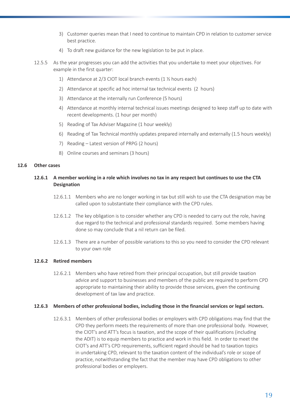- <span id="page-18-0"></span>3) Customer queries mean that I need to continue to maintain CPD in relation to customer service best practice.
- 4) To draft new guidance for the new legislation to be put in place.
- 12.5.5 As the year progresses you can add the activities that you undertake to meet your objectives. For example in the first quarter:
	- 1) Attendance at 2/3 CIOT local branch events (1 ½ hours each)
	- 2) Attendance at specific ad hoc internal tax technical events (2 hours)
	- 3) Attendance at the internally run Conference (5 hours)
	- 4) Attendance at monthly internal technical issues meetings designed to keep staff up to date with recent developments. (1 hour per month)
	- 5) Reading of Tax Adviser Magazine (1 hour weekly)
	- 6) Reading of Tax Technical monthly updates prepared internally and externally (1.5 hours weekly)
	- 7) Reading Latest version of PRPG (2 hours)
	- 8) Online courses and seminars (3 hours)

#### **12.6 Other cases**

#### **12.6.1 A member working in a role which involves no tax in any respect but continues to use the CTA Designation**

- 12.6.1.1 Members who are no longer working in tax but still wish to use the CTA designation may be called upon to substantiate their compliance with the CPD rules.
- 12.6.1.2 The key obligation is to consider whether any CPD is needed to carry out the role, having due regard to the technical and professional standards required. Some members having done so may conclude that a nil return can be filed.
- 12.6.1.3 There are a number of possible variations to this so you need to consider the CPD relevant to your own role

#### **12.6.2 Retired members**

12.6.2.1 Members who have retired from their principal occupation, but still provide taxation advice and support to businesses and members of the public are required to perform CPD appropriate to maintaining their ability to provide those services, given the continuing development of tax law and practice.

#### **12.6.3 Members of other professional bodies, including those in the financial services or legal sectors.**

12.6.3.1 Members of other professional bodies or employers with CPD obligations may find that the CPD they perform meets the requirements of more than one professional body. However, the CIOT's and ATT's focus is taxation, and the scope of their qualifications (including the ADIT) is to equip members to practice and work in this field. In order to meet the CIOT's and ATT's CPD requirements, sufficient regard should be had to taxation topics in undertaking CPD, relevant to the taxation content of the individual's role or scope of practice, notwithstanding the fact that the member may have CPD obligations to other professional bodies or employers.